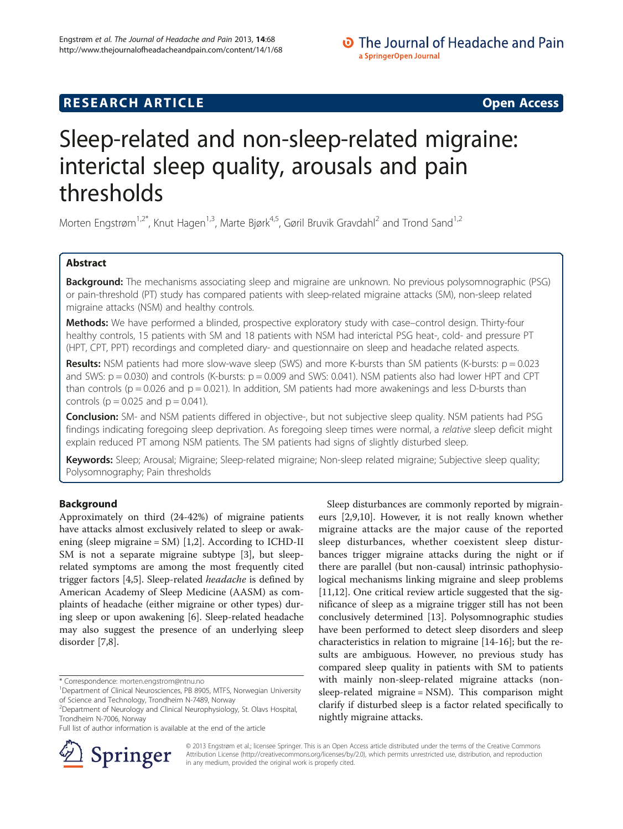# **RESEARCH ARTICLE Example 2014 12:30 The SEAR CHA RTICLE**

# Sleep-related and non-sleep-related migraine: interictal sleep quality, arousals and pain thresholds

Morten Engstrøm<sup>1,2\*</sup>, Knut Hagen<sup>1,3</sup>, Marte Bjørk<sup>4,5</sup>, Gøril Bruvik Gravdahl<sup>2</sup> and Trond Sand<sup>1,2</sup>

# Abstract

Background: The mechanisms associating sleep and migraine are unknown. No previous polysomnographic (PSG) or pain-threshold (PT) study has compared patients with sleep-related migraine attacks (SM), non-sleep related migraine attacks (NSM) and healthy controls.

Methods: We have performed a blinded, prospective exploratory study with case-control design. Thirty-four healthy controls, 15 patients with SM and 18 patients with NSM had interictal PSG heat-, cold- and pressure PT (HPT, CPT, PPT) recordings and completed diary- and questionnaire on sleep and headache related aspects.

**Results:** NSM patients had more slow-wave sleep (SWS) and more K-bursts than SM patients (K-bursts:  $p = 0.023$ and SWS:  $p = 0.030$ ) and controls (K-bursts:  $p = 0.009$  and SWS: 0.041). NSM patients also had lower HPT and CPT than controls ( $p = 0.026$  and  $p = 0.021$ ). In addition, SM patients had more awakenings and less D-bursts than controls ( $p = 0.025$  and  $p = 0.041$ ).

Conclusion: SM- and NSM patients differed in objective-, but not subjective sleep quality. NSM patients had PSG findings indicating foregoing sleep deprivation. As foregoing sleep times were normal, a relative sleep deficit might explain reduced PT among NSM patients. The SM patients had signs of slightly disturbed sleep.

Keywords: Sleep; Arousal; Migraine; Sleep-related migraine; Non-sleep related migraine; Subjective sleep quality; Polysomnography; Pain thresholds

# Background

Approximately on third (24-42%) of migraine patients have attacks almost exclusively related to sleep or awakening (sleep migraine = SM) [\[1,2](#page-8-0)]. According to ICHD-II SM is not a separate migraine subtype [[3\]](#page-8-0), but sleeprelated symptoms are among the most frequently cited trigger factors [\[4,5](#page-8-0)]. Sleep-related headache is defined by American Academy of Sleep Medicine (AASM) as complaints of headache (either migraine or other types) during sleep or upon awakening [[6\]](#page-8-0). Sleep-related headache may also suggest the presence of an underlying sleep disorder [\[7](#page-8-0),[8](#page-8-0)].

Full list of author information is available at the end of the article





© 2013 Engstrøm et al.; licensee Springer. This is an Open Access article distributed under the terms of the Creative Commons Attribution License [\(http://creativecommons.org/licenses/by/2.0\)](http://creativecommons.org/licenses/by/2.0), which permits unrestricted use, distribution, and reproduction in any medium, provided the original work is properly cited.

<sup>\*</sup> Correspondence: [morten.engstrom@ntnu.no](mailto:morten.engstrom@ntnu.no) <sup>1</sup>

<sup>&</sup>lt;sup>1</sup>Department of Clinical Neurosciences, PB 8905, MTFS, Norwegian University of Science and Technology, Trondheim N-7489, Norway

<sup>2</sup> Department of Neurology and Clinical Neurophysiology, St. Olavs Hospital, Trondheim N-7006, Norway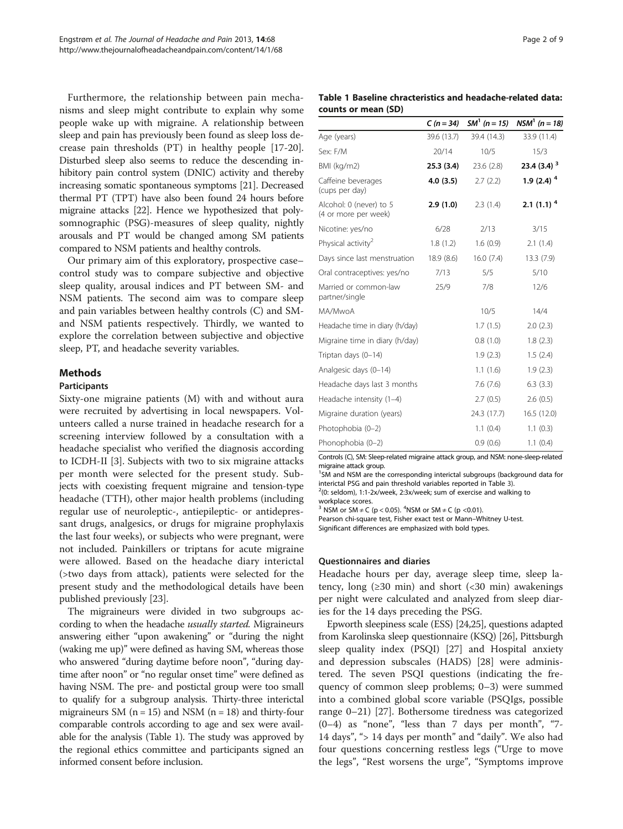<span id="page-1-0"></span>Furthermore, the relationship between pain mechanisms and sleep might contribute to explain why some people wake up with migraine. A relationship between sleep and pain has previously been found as sleep loss decrease pain thresholds (PT) in healthy people [\[17-20](#page-8-0)]. Disturbed sleep also seems to reduce the descending inhibitory pain control system (DNIC) activity and thereby increasing somatic spontaneous symptoms [\[21\]](#page-8-0). Decreased thermal PT (TPT) have also been found 24 hours before migraine attacks [[22](#page-8-0)]. Hence we hypothesized that polysomnographic (PSG)-measures of sleep quality, nightly arousals and PT would be changed among SM patients compared to NSM patients and healthy controls.

Our primary aim of this exploratory, prospective case– control study was to compare subjective and objective sleep quality, arousal indices and PT between SM- and NSM patients. The second aim was to compare sleep and pain variables between healthy controls (C) and SMand NSM patients respectively. Thirdly, we wanted to explore the correlation between subjective and objective sleep, PT, and headache severity variables.

# Methods

### Participants

Sixty-one migraine patients (M) with and without aura were recruited by advertising in local newspapers. Volunteers called a nurse trained in headache research for a screening interview followed by a consultation with a headache specialist who verified the diagnosis according to ICDH-II [[3\]](#page-8-0). Subjects with two to six migraine attacks per month were selected for the present study. Subjects with coexisting frequent migraine and tension-type headache (TTH), other major health problems (including regular use of neuroleptic-, antiepileptic- or antidepressant drugs, analgesics, or drugs for migraine prophylaxis the last four weeks), or subjects who were pregnant, were not included. Painkillers or triptans for acute migraine were allowed. Based on the headache diary interictal (>two days from attack), patients were selected for the present study and the methodological details have been published previously [\[23\]](#page-8-0).

The migraineurs were divided in two subgroups according to when the headache *usually started*. Migraineurs answering either "upon awakening" or "during the night (waking me up)" were defined as having SM, whereas those who answered "during daytime before noon", "during daytime after noon" or "no regular onset time" were defined as having NSM. The pre- and postictal group were too small to qualify for a subgroup analysis. Thirty-three interictal migraineurs SM ( $n = 15$ ) and NSM ( $n = 18$ ) and thirty-four comparable controls according to age and sex were available for the analysis (Table 1). The study was approved by the regional ethics committee and participants signed an informed consent before inclusion.

Table 1 Baseline chracteristics and headache-related data: counts or mean (SD)

|                                                 | $C(n = 34)$ | $SM^1 (n = 15)$ | $NSM^1$ (n = 18)         |
|-------------------------------------------------|-------------|-----------------|--------------------------|
| Age (years)                                     | 39.6 (13.7) | 39.4 (14.3)     | 33.9 (11.4)              |
| Sex: F/M                                        | 20/14       | 10/5            | 15/3                     |
| BMI (kg/m2)                                     | 25.3(3.4)   | 23.6(2.8)       | 23.4 (3.4) <sup>3</sup>  |
| Caffeine beverages<br>(cups per day)            | 4.0(3.5)    | 2.7(2.2)        | 1.9 $(2.4)$ <sup>4</sup> |
| Alcohol: 0 (never) to 5<br>(4 or more per week) | 2.9(1.0)    | 2.3(1.4)        | $2.1(1.1)^4$             |
| Nicotine: yes/no                                | 6/28        | 2/13            | 3/15                     |
| Physical activity <sup>2</sup>                  | 1.8(1.2)    | 1.6(0.9)        | 2.1(1.4)                 |
| Days since last menstruation                    | 18.9(8.6)   | 16.0(7.4)       | 13.3(7.9)                |
| Oral contraceptives: yes/no                     | 7/13        | 5/5             | 5/10                     |
| Married or common-law<br>partner/single         | 25/9        | 7/8             | 12/6                     |
| MA/MwoA                                         |             | 10/5            | 14/4                     |
| Headache time in diary (h/day)                  |             | 1.7(1.5)        | 2.0(2.3)                 |
| Migraine time in diary (h/day)                  |             | 0.8(1.0)        | 1.8(2.3)                 |
| Triptan days (0-14)                             |             | 1.9(2.3)        | 1.5(2.4)                 |
| Analgesic days (0-14)                           |             | 1.1(1.6)        | 1.9(2.3)                 |
| Headache days last 3 months                     |             | 7.6(7.6)        | 6.3(3.3)                 |
| Headache intensity (1-4)                        |             | 2.7(0.5)        | 2.6(0.5)                 |
| Migraine duration (years)                       |             | 24.3 (17.7)     | 16.5 (12.0)              |
| Photophobia (0-2)                               |             | 1.1(0.4)        | 1.1(0.3)                 |
| Phonophobia (0-2)                               |             | 0.9(0.6)        | 1.1(0.4)                 |
|                                                 |             |                 |                          |

Controls (C), SM: Sleep-related migraine attack group, and NSM: none-sleep-related migraine attack group.

<sup>1</sup>SM and NSM are the corresponding interictal subgroups (background data for interictal PSG and pain threshold variables reported in Table [3\)](#page-5-0). <sup>2</sup>

 $^{2}(0)$ : seldom), 1:1-2x/week, 2:3x/week; sum of exercise and walking to workplace scores.

<sup>3</sup> NSM or SM  $\neq$  C (p < 0.05). <sup>4</sup>NSM or SM  $\neq$  C (p < 0.01).

Pearson chi-square test, Fisher exact test or Mann–Whitney U-test. Significant differences are emphasized with bold types.

#### Questionnaires and diaries

Headache hours per day, average sleep time, sleep latency, long  $(≥30 \text{ min})$  and short  $(≤30 \text{ min})$  awakenings per night were calculated and analyzed from sleep diaries for the 14 days preceding the PSG.

Epworth sleepiness scale (ESS) [[24,25\]](#page-8-0), questions adapted from Karolinska sleep questionnaire (KSQ) [\[26\]](#page-8-0), Pittsburgh sleep quality index (PSQI) [\[27](#page-8-0)] and Hospital anxiety and depression subscales (HADS) [\[28](#page-8-0)] were administered. The seven PSQI questions (indicating the frequency of common sleep problems; 0–3) were summed into a combined global score variable (PSQIgs, possible range 0–21) [[27\]](#page-8-0). Bothersome tiredness was categorized (0–4) as "none", "less than 7 days per month", "7- 14 days", "> 14 days per month" and "daily". We also had four questions concerning restless legs ("Urge to move the legs", "Rest worsens the urge", "Symptoms improve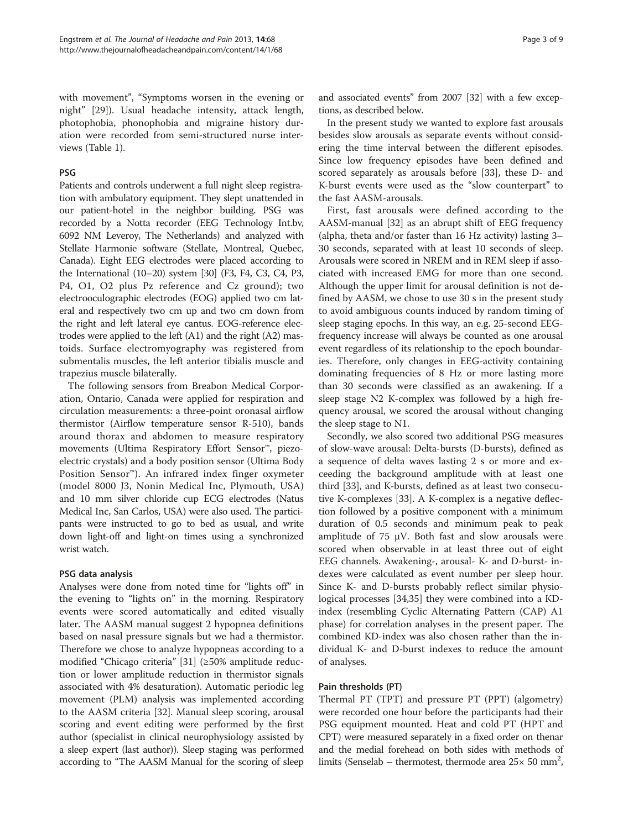with movement", "Symptoms worsen in the evening or night" [[29\]](#page-8-0)). Usual headache intensity, attack length, photophobia, phonophobia and migraine history duration were recorded from semi-structured nurse interviews (Table [1](#page-1-0)).

# PSG

Patients and controls underwent a full night sleep registration with ambulatory equipment. They slept unattended in our patient-hotel in the neighbor building. PSG was recorded by a Notta recorder (EEG Technology Int.bv, 6092 NM Leveroy, The Netherlands) and analyzed with Stellate Harmonie software (Stellate, Montreal, Quebec, Canada). Eight EEG electrodes were placed according to the International (10–20) system [\[30\]](#page-8-0) (F3, F4, C3, C4, P3, P4, O1, O2 plus Pz reference and Cz ground); two electrooculographic electrodes (EOG) applied two cm lateral and respectively two cm up and two cm down from the right and left lateral eye cantus. EOG-reference electrodes were applied to the left (A1) and the right (A2) mastoids. Surface electromyography was registered from submentalis muscles, the left anterior tibialis muscle and trapezius muscle bilaterally.

The following sensors from Breabon Medical Corporation, Ontario, Canada were applied for respiration and circulation measurements: a three-point oronasal airflow thermistor (Airflow temperature sensor R-510), bands around thorax and abdomen to measure respiratory movements (Ultima Respiratory Effort Sensor™, piezoelectric crystals) and a body position sensor (Ultima Body Position Sensor™). An infrared index finger oxymeter (model 8000 J3, Nonin Medical Inc, Plymouth, USA) and 10 mm silver chloride cup ECG electrodes (Natus Medical Inc, San Carlos, USA) were also used. The participants were instructed to go to bed as usual, and write down light-off and light-on times using a synchronized wrist watch.

# PSG data analysis

Analyses were done from noted time for "lights off" in the evening to "lights on" in the morning. Respiratory events were scored automatically and edited visually later. The AASM manual suggest 2 hypopnea definitions based on nasal pressure signals but we had a thermistor. Therefore we chose to analyze hypopneas according to a modified "Chicago criteria" [[31\]](#page-8-0) (≥50% amplitude reduction or lower amplitude reduction in thermistor signals associated with 4% desaturation). Automatic periodic leg movement (PLM) analysis was implemented according to the AASM criteria [\[32](#page-8-0)]. Manual sleep scoring, arousal scoring and event editing were performed by the first author (specialist in clinical neurophysiology assisted by a sleep expert (last author)). Sleep staging was performed according to "The AASM Manual for the scoring of sleep and associated events" from 2007 [\[32](#page-8-0)] with a few exceptions, as described below.

In the present study we wanted to explore fast arousals besides slow arousals as separate events without considering the time interval between the different episodes. Since low frequency episodes have been defined and scored separately as arousals before [[33](#page-8-0)], these D- and K-burst events were used as the "slow counterpart" to the fast AASM-arousals.

First, fast arousals were defined according to the AASM-manual [\[32\]](#page-8-0) as an abrupt shift of EEG frequency (alpha, theta and/or faster than 16 Hz activity) lasting 3– 30 seconds, separated with at least 10 seconds of sleep. Arousals were scored in NREM and in REM sleep if associated with increased EMG for more than one second. Although the upper limit for arousal definition is not defined by AASM, we chose to use 30 s in the present study to avoid ambiguous counts induced by random timing of sleep staging epochs. In this way, an e.g. 25-second EEGfrequency increase will always be counted as one arousal event regardless of its relationship to the epoch boundaries. Therefore, only changes in EEG-activity containing dominating frequencies of 8 Hz or more lasting more than 30 seconds were classified as an awakening. If a sleep stage N2 K-complex was followed by a high frequency arousal, we scored the arousal without changing the sleep stage to N1.

Secondly, we also scored two additional PSG measures of slow-wave arousal: Delta-bursts (D-bursts), defined as a sequence of delta waves lasting 2 s or more and exceeding the background amplitude with at least one third [[33\]](#page-8-0), and K-bursts, defined as at least two consecutive K-complexes [\[33](#page-8-0)]. A K-complex is a negative deflection followed by a positive component with a minimum duration of 0.5 seconds and minimum peak to peak amplitude of 75  $\mu$ V. Both fast and slow arousals were scored when observable in at least three out of eight EEG channels. Awakening-, arousal- K- and D-burst- indexes were calculated as event number per sleep hour. Since K- and D-bursts probably reflect similar physiological processes [\[34,35\]](#page-8-0) they were combined into a KDindex (resembling Cyclic Alternating Pattern (CAP) A1 phase) for correlation analyses in the present paper. The combined KD-index was also chosen rather than the individual K- and D-burst indexes to reduce the amount of analyses.

# Pain thresholds (PT)

Thermal PT (TPT) and pressure PT (PPT) (algometry) were recorded one hour before the participants had their PSG equipment mounted. Heat and cold PT (HPT and CPT) were measured separately in a fixed order on thenar and the medial forehead on both sides with methods of limits (Senselab – thermotest, thermode area  $25 \times 50$  mm<sup>2</sup>,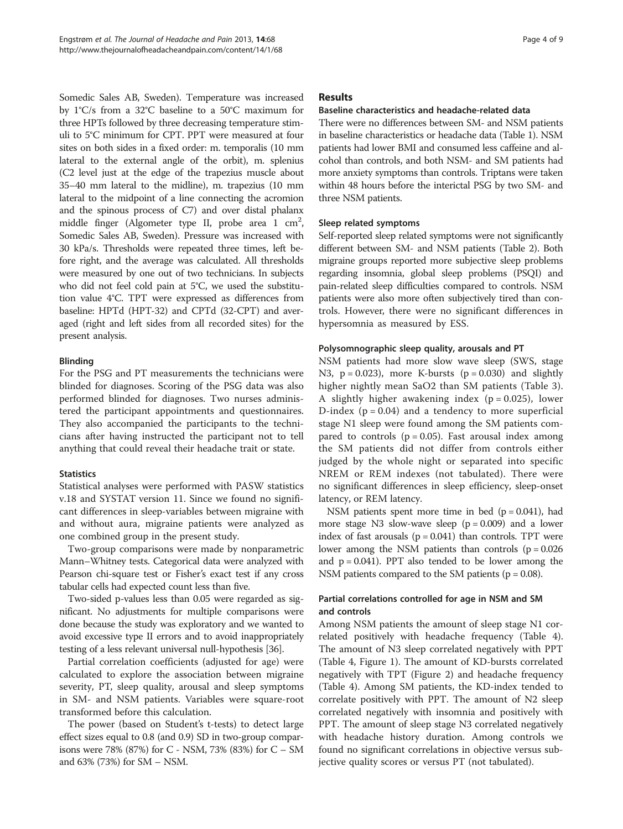Somedic Sales AB, Sweden). Temperature was increased by 1°C/s from a 32°C baseline to a 50°C maximum for three HPTs followed by three decreasing temperature stimuli to 5°C minimum for CPT. PPT were measured at four sites on both sides in a fixed order: m. temporalis (10 mm lateral to the external angle of the orbit), m. splenius (C2 level just at the edge of the trapezius muscle about 35–40 mm lateral to the midline), m. trapezius (10 mm lateral to the midpoint of a line connecting the acromion and the spinous process of C7) and over distal phalanx middle finger (Algometer type II, probe area  $1 \text{ cm}^2$ , Somedic Sales AB, Sweden). Pressure was increased with 30 kPa/s. Thresholds were repeated three times, left before right, and the average was calculated. All thresholds were measured by one out of two technicians. In subjects who did not feel cold pain at 5°C, we used the substitution value 4°C. TPT were expressed as differences from baseline: HPTd (HPT-32) and CPTd (32-CPT) and averaged (right and left sides from all recorded sites) for the present analysis.

# Blinding

For the PSG and PT measurements the technicians were blinded for diagnoses. Scoring of the PSG data was also performed blinded for diagnoses. Two nurses administered the participant appointments and questionnaires. They also accompanied the participants to the technicians after having instructed the participant not to tell anything that could reveal their headache trait or state.

# **Statistics**

Statistical analyses were performed with PASW statistics v.18 and SYSTAT version 11. Since we found no significant differences in sleep-variables between migraine with and without aura, migraine patients were analyzed as one combined group in the present study.

Two-group comparisons were made by nonparametric Mann–Whitney tests. Categorical data were analyzed with Pearson chi-square test or Fisher's exact test if any cross tabular cells had expected count less than five.

Two-sided p-values less than 0.05 were regarded as significant. No adjustments for multiple comparisons were done because the study was exploratory and we wanted to avoid excessive type II errors and to avoid inappropriately testing of a less relevant universal null-hypothesis [\[36\]](#page-8-0).

Partial correlation coefficients (adjusted for age) were calculated to explore the association between migraine severity, PT, sleep quality, arousal and sleep symptoms in SM- and NSM patients. Variables were square-root transformed before this calculation.

The power (based on Student's t-tests) to detect large effect sizes equal to 0.8 (and 0.9) SD in two-group comparisons were 78% (87%) for C - NSM, 73% (83%) for C – SM and 63% (73%) for SM – NSM.

# Results

# Baseline characteristics and headache-related data

There were no differences between SM- and NSM patients in baseline characteristics or headache data (Table [1](#page-1-0)). NSM patients had lower BMI and consumed less caffeine and alcohol than controls, and both NSM- and SM patients had more anxiety symptoms than controls. Triptans were taken within 48 hours before the interictal PSG by two SM- and three NSM patients.

# Sleep related symptoms

Self-reported sleep related symptoms were not significantly different between SM- and NSM patients (Table [2\)](#page-4-0). Both migraine groups reported more subjective sleep problems regarding insomnia, global sleep problems (PSQI) and pain-related sleep difficulties compared to controls. NSM patients were also more often subjectively tired than controls. However, there were no significant differences in hypersomnia as measured by ESS.

# Polysomnographic sleep quality, arousals and PT

NSM patients had more slow wave sleep (SWS, stage N3,  $p = 0.023$ , more K-bursts ( $p = 0.030$ ) and slightly higher nightly mean SaO2 than SM patients (Table [3](#page-5-0)). A slightly higher awakening index  $(p = 0.025)$ , lower D-index ( $p = 0.04$ ) and a tendency to more superficial stage N1 sleep were found among the SM patients compared to controls ( $p = 0.05$ ). Fast arousal index among the SM patients did not differ from controls either judged by the whole night or separated into specific NREM or REM indexes (not tabulated). There were no significant differences in sleep efficiency, sleep-onset latency, or REM latency.

NSM patients spent more time in bed  $(p = 0.041)$ , had more stage N3 slow-wave sleep  $(p = 0.009)$  and a lower index of fast arousals  $(p = 0.041)$  than controls. TPT were lower among the NSM patients than controls  $(p = 0.026)$ and  $p = 0.041$ ). PPT also tended to be lower among the NSM patients compared to the SM patients ( $p = 0.08$ ).

# Partial correlations controlled for age in NSM and SM and controls

Among NSM patients the amount of sleep stage N1 correlated positively with headache frequency (Table [4](#page-6-0)). The amount of N3 sleep correlated negatively with PPT (Table [4](#page-6-0), Figure [1\)](#page-6-0). The amount of KD-bursts correlated negatively with TPT (Figure [2\)](#page-6-0) and headache frequency (Table [4\)](#page-6-0). Among SM patients, the KD-index tended to correlate positively with PPT. The amount of N2 sleep correlated negatively with insomnia and positively with PPT. The amount of sleep stage N3 correlated negatively with headache history duration. Among controls we found no significant correlations in objective versus subjective quality scores or versus PT (not tabulated).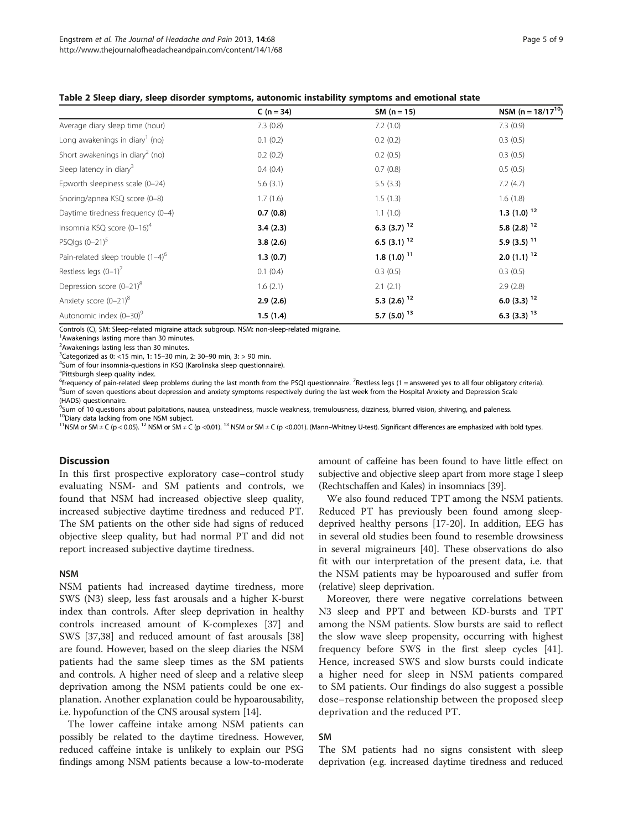|                                             | $C(n = 34)$ | $SM (n = 15)$             | NSM ( $n = 18/17^{10}$ )  |
|---------------------------------------------|-------------|---------------------------|---------------------------|
| Average diary sleep time (hour)             | 7.3(0.8)    | 7.2(1.0)                  | 7.3(0.9)                  |
| Long awakenings in diary <sup>1</sup> (no)  | 0.1(0.2)    | 0.2(0.2)                  | 0.3(0.5)                  |
| Short awakenings in diary <sup>2</sup> (no) | 0.2(0.2)    | 0.2(0.5)                  | 0.3(0.5)                  |
| Sleep latency in diary <sup>3</sup>         | 0.4(0.4)    | 0.7(0.8)                  | 0.5(0.5)                  |
| Epworth sleepiness scale (0-24)             | 5.6(3.1)    | 5.5(3.3)                  | 7.2(4.7)                  |
| Snoring/apnea KSQ score (0-8)               | 1.7(1.6)    | 1.5(1.3)                  | 1.6(1.8)                  |
| Daytime tiredness frequency (0-4)           | 0.7(0.8)    | 1.1(1.0)                  | 1.3 $(1.0)$ <sup>12</sup> |
| Insomnia KSQ score (0-16) <sup>4</sup>      | 3.4(2.3)    | 6.3 (3.7) $^{12}$         | 5.8 (2.8) $12$            |
| PSQlgs $(0-21)^5$                           | 3.8(2.6)    | 6.5 (3.1) $12$            | 5.9 (3.5) $11$            |
| Pain-related sleep trouble $(1-4)^6$        | 1.3(0.7)    | $1.8(1.0)^{11}$           | $2.0(1.1)^{12}$           |
| Restless legs $(0-1)^7$                     | 0.1(0.4)    | 0.3(0.5)                  | 0.3(0.5)                  |
| Depression score $(0-21)^8$                 | 1.6(2.1)    | 2.1(2.1)                  | 2.9(2.8)                  |
| Anxiety score $(0-21)^8$                    | 2.9(2.6)    | 5.3 $(2.6)$ <sup>12</sup> | 6.0 (3.3) $12$            |
| Autonomic index (0-30) <sup>9</sup>         | 1.5(1.4)    | 5.7 (5.0) $^{13}$         | 6.3 (3.3) $13$            |

#### <span id="page-4-0"></span>Table 2 Sleep diary, sleep disorder symptoms, autonomic instability symptoms and emotional state

Controls (C), SM: Sleep-related migraine attack subgroup. NSM: non-sleep-related migraine.

<sup>1</sup> Awakenings lasting more than 30 minutes.

<sup>2</sup> Awakenings lasting less than 30 minutes.

<sup>3</sup>Categorized as 0: <15 min, 1: 15–30 min, 2: 30–90 min, 3: > 90 min.<br><sup>4</sup>Sum of four insomnia-questions in KSO (Karolinska sleep questionn

<sup>4</sup>Sum of four insomnia-questions in KSQ (Karolinska sleep questionnaire).

5 Pittsburgh sleep quality index.

<sup>6</sup>frequency of pain-related sleep problems during the last month from the PSQI questionnaire. <sup>7</sup>Restless legs (1 = answered yes to all four obligatory criteria).<br><sup>8</sup>Sum of saven questions about depression and anxiety sym <sup>8</sup>Sum of seven questions about depression and anxiety symptoms respectively during the last week from the Hospital Anxiety and Depression Scale (HADS) questionnaire.

<sup>9</sup>Sum of 10 questions about palpitations, nausea, unsteadiness, muscle weakness, tremulousness, dizziness, blurred vision, shivering, and paleness.<br><sup>10</sup>Diary data lacking from one NSM subject.

<sup>10</sup>Diary data lacking from one NSM subject.<br><sup>11</sup>NSM or SM ≠ C (p < 0.05). <sup>12</sup> NSM or SM ≠ C (p <0.01). <sup>13</sup> NSM or SM ≠ C (p <0.001). (Mann–Whitney U-test). Significant differences are emphasized with bold types.

## **Discussion**

In this first prospective exploratory case–control study evaluating NSM- and SM patients and controls, we found that NSM had increased objective sleep quality, increased subjective daytime tiredness and reduced PT. The SM patients on the other side had signs of reduced objective sleep quality, but had normal PT and did not report increased subjective daytime tiredness.

# NSM

NSM patients had increased daytime tiredness, more SWS (N3) sleep, less fast arousals and a higher K-burst index than controls. After sleep deprivation in healthy controls increased amount of K-complexes [\[37\]](#page-8-0) and SWS [\[37,38\]](#page-8-0) and reduced amount of fast arousals [[38](#page-8-0)] are found. However, based on the sleep diaries the NSM patients had the same sleep times as the SM patients and controls. A higher need of sleep and a relative sleep deprivation among the NSM patients could be one explanation. Another explanation could be hypoarousability, i.e. hypofunction of the CNS arousal system [\[14\]](#page-8-0).

The lower caffeine intake among NSM patients can possibly be related to the daytime tiredness. However, reduced caffeine intake is unlikely to explain our PSG findings among NSM patients because a low-to-moderate amount of caffeine has been found to have little effect on subjective and objective sleep apart from more stage I sleep (Rechtschaffen and Kales) in insomniacs [\[39\]](#page-8-0).

We also found reduced TPT among the NSM patients. Reduced PT has previously been found among sleepdeprived healthy persons [[17-20\]](#page-8-0). In addition, EEG has in several old studies been found to resemble drowsiness in several migraineurs [[40\]](#page-8-0). These observations do also fit with our interpretation of the present data, i.e. that the NSM patients may be hypoaroused and suffer from (relative) sleep deprivation.

Moreover, there were negative correlations between N3 sleep and PPT and between KD-bursts and TPT among the NSM patients. Slow bursts are said to reflect the slow wave sleep propensity, occurring with highest frequency before SWS in the first sleep cycles [\[41](#page-8-0)]. Hence, increased SWS and slow bursts could indicate a higher need for sleep in NSM patients compared to SM patients. Our findings do also suggest a possible dose–response relationship between the proposed sleep deprivation and the reduced PT.

# SM

The SM patients had no signs consistent with sleep deprivation (e.g. increased daytime tiredness and reduced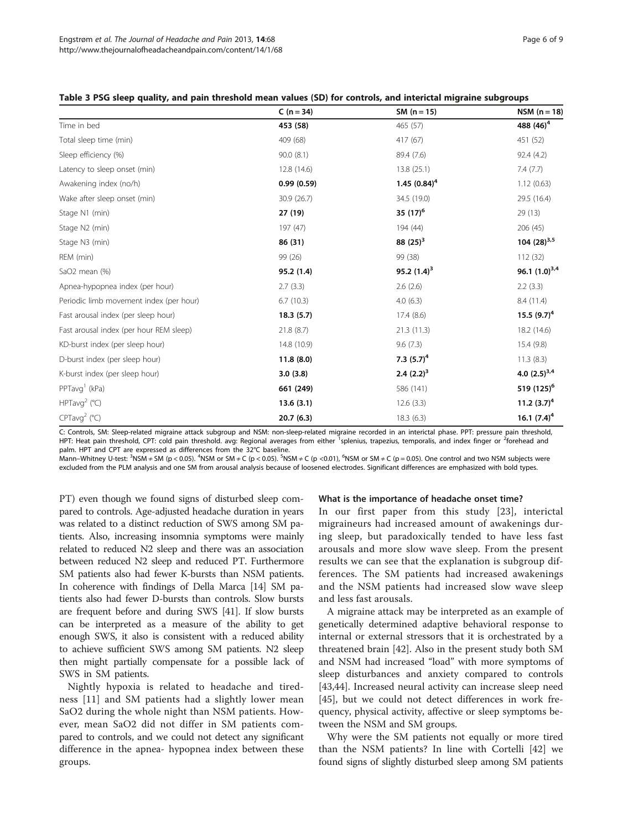|                                         | $C (n = 34)$ | $SM (n = 15)$   | $NSM (n = 18)$        |
|-----------------------------------------|--------------|-----------------|-----------------------|
| Time in bed                             | 453 (58)     | 465 (57)        | 488 (46) <sup>4</sup> |
| Total sleep time (min)                  | 409 (68)     | 417 (67)        | 451 (52)              |
| Sleep efficiency (%)                    | 90.0(8.1)    | 89.4 (7.6)      | 92.4(4.2)             |
| Latency to sleep onset (min)            | 12.8 (14.6)  | 13.8 (25.1)     | 7.4(7.7)              |
| Awakening index (no/h)                  | 0.99(0.59)   | 1.45 $(0.84)^4$ | 1.12(0.63)            |
| Wake after sleep onset (min)            | 30.9 (26.7)  | 34.5 (19.0)     | 29.5 (16.4)           |
| Stage N1 (min)                          | 27 (19)      | 35 $(17)^6$     | 29(13)                |
| Stage N2 (min)                          | 197 (47)     | 194 (44)        | 206 (45)              |
| Stage N3 (min)                          | 86 (31)      | 88 $(25)^3$     | 104 $(28)^{3,5}$      |
| REM (min)                               | 99 (26)      | 99 (38)         | 112(32)               |
| SaO2 mean (%)                           | 95.2 (1.4)   | 95.2 $(1.4)^3$  | 96.1 $(1.0)^{3,4}$    |
| Apnea-hypopnea index (per hour)         | 2.7(3.3)     | 2.6(2.6)        | 2.2(3.3)              |
| Periodic limb movement index (per hour) | 6.7(10.3)    | 4.0(6.3)        | 8.4 (11.4)            |
| Fast arousal index (per sleep hour)     | 18.3(5.7)    | 17.4(8.6)       | 15.5 $(9.7)^4$        |
| Fast arousal index (per hour REM sleep) | 21.8(8.7)    | 21.3(11.3)      | 18.2 (14.6)           |
| KD-burst index (per sleep hour)         | 14.8 (10.9)  | 9.6(7.3)        | 15.4(9.8)             |
| D-burst index (per sleep hour)          | 11.8(8.0)    | 7.3 $(5.7)^4$   | 11.3(8.3)             |
| K-burst index (per sleep hour)          | 3.0(3.8)     | $2.4 (2.2)^3$   | 4.0 $(2.5)^{3,4}$     |
| PPTavg <sup>1</sup> (kPa)               | 661 (249)    | 586 (141)       | 519 $(125)^6$         |
| HPTavg <sup>2</sup> ( $^{\circ}$ C)     | 13.6(3.1)    | 12.6(3.3)       | 11.2 $(3.7)^4$        |
| CPTavg <sup>2</sup> (°C)                | 20.7(6.3)    | 18.3 (6.3)      | 16.1 $(7.4)^4$        |

<span id="page-5-0"></span>

| Table 3 PSG sleep quality, and pain threshold mean values (SD) for controls, and interictal migraine subgroups |  |  |  |
|----------------------------------------------------------------------------------------------------------------|--|--|--|
|----------------------------------------------------------------------------------------------------------------|--|--|--|

C: Controls, SM: Sleep-related migraine attack subgroup and NSM: non-sleep-related migraine recorded in an interictal phase. PPT: pressure pain threshold, HPT: Heat pain threshold, CPT: cold pain threshold. avg: Regional averages from either <sup>1</sup>splenius, trapezius, temporalis, and index finger or <sup>2</sup>forehead and palm. HPT and CPT are expressed as differences from the 32°C baseline.

Mann–Whitney U-test: <sup>3</sup>NSM ≠ SM (p < 0.05). <sup>4</sup>NSM or SM ≠ C (p < 0.05). <sup>5</sup>NSM ≠ C (p < 0.01), <sup>6</sup>NSM or SM ≠ C (p = 0.05). One control and two NSM subjects were excluded from the PLM analysis and one SM from arousal analysis because of loosened electrodes. Significant differences are emphasized with bold types.

PT) even though we found signs of disturbed sleep compared to controls. Age-adjusted headache duration in years was related to a distinct reduction of SWS among SM patients. Also, increasing insomnia symptoms were mainly related to reduced N2 sleep and there was an association between reduced N2 sleep and reduced PT. Furthermore SM patients also had fewer K-bursts than NSM patients. In coherence with findings of Della Marca [\[14\]](#page-8-0) SM patients also had fewer D-bursts than controls. Slow bursts are frequent before and during SWS [\[41\]](#page-8-0). If slow bursts can be interpreted as a measure of the ability to get enough SWS, it also is consistent with a reduced ability to achieve sufficient SWS among SM patients. N2 sleep then might partially compensate for a possible lack of SWS in SM patients.

Nightly hypoxia is related to headache and tiredness [\[11](#page-8-0)] and SM patients had a slightly lower mean SaO2 during the whole night than NSM patients. However, mean SaO2 did not differ in SM patients compared to controls, and we could not detect any significant difference in the apnea- hypopnea index between these groups.

# What is the importance of headache onset time?

In our first paper from this study [\[23](#page-8-0)], interictal migraineurs had increased amount of awakenings during sleep, but paradoxically tended to have less fast arousals and more slow wave sleep. From the present results we can see that the explanation is subgroup differences. The SM patients had increased awakenings and the NSM patients had increased slow wave sleep and less fast arousals.

A migraine attack may be interpreted as an example of genetically determined adaptive behavioral response to internal or external stressors that it is orchestrated by a threatened brain [[42](#page-8-0)]. Also in the present study both SM and NSM had increased "load" with more symptoms of sleep disturbances and anxiety compared to controls [[43,44\]](#page-8-0). Increased neural activity can increase sleep need [[45\]](#page-8-0), but we could not detect differences in work frequency, physical activity, affective or sleep symptoms between the NSM and SM groups.

Why were the SM patients not equally or more tired than the NSM patients? In line with Cortelli [\[42](#page-8-0)] we found signs of slightly disturbed sleep among SM patients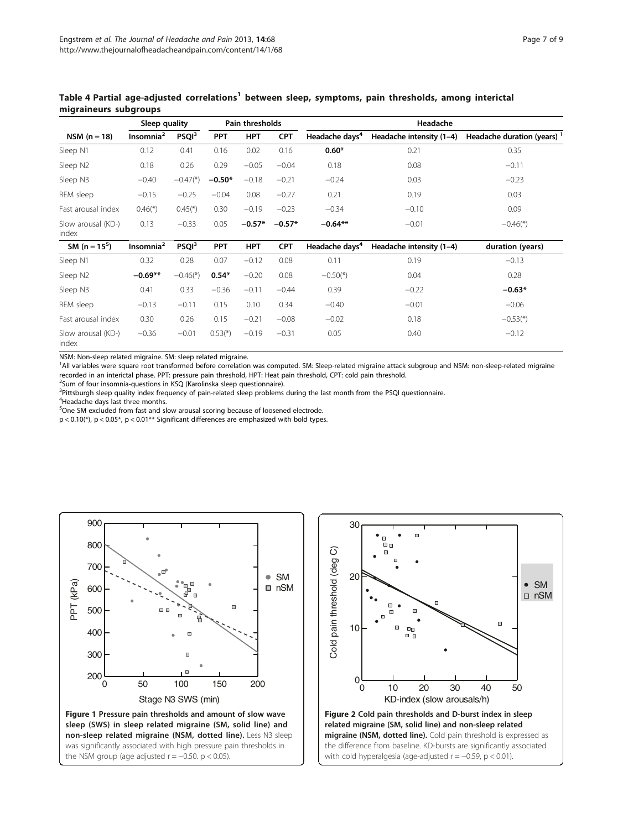|                             | Sleep quality         |                        | Pain thresholds |            | Headache   |                            |                          |                                        |
|-----------------------------|-----------------------|------------------------|-----------------|------------|------------|----------------------------|--------------------------|----------------------------------------|
| $NSM (n = 18)$              | Insomnia <sup>2</sup> | PSQI <sup>3</sup>      | <b>PPT</b>      | <b>HPT</b> | <b>CPT</b> | Headache days <sup>4</sup> | Headache intensity (1-4) | Headache duration (years) <sup>1</sup> |
| Sleep N1                    | 0.12                  | 0.41                   | 0.16            | 0.02       | 0.16       | $0.60*$                    | 0.21                     | 0.35                                   |
| Sleep N2                    | 0.18                  | 0.26                   | 0.29            | $-0.05$    | $-0.04$    | 0.18                       | 0.08                     | $-0.11$                                |
| Sleep N3                    | $-0.40$               | $-0.47$ <sup>*</sup> ) | $-0.50*$        | $-0.18$    | $-0.21$    | $-0.24$                    | 0.03                     | $-0.23$                                |
| REM sleep                   | $-0.15$               | $-0.25$                | $-0.04$         | 0.08       | $-0.27$    | 0.21                       | 0.19                     | 0.03                                   |
| Fast arousal index          | $0.46(*)$             | $0.45$ <sup>*</sup> )  | 0.30            | $-0.19$    | $-0.23$    | $-0.34$                    | $-0.10$                  | 0.09                                   |
| Slow arousal (KD-)<br>index | 0.13                  | $-0.33$                | 0.05            | $-0.57*$   | $-0.57*$   | $-0.64**$                  | $-0.01$                  | $-0.46$ <sup>*</sup> )                 |
| SM ( $n = 15^5$ )           | Insomnia <sup>2</sup> | PSQI <sup>3</sup>      | <b>PPT</b>      | <b>HPT</b> | <b>CPT</b> | Headache days <sup>4</sup> | Headache intensity (1-4) | duration (years)                       |
| Sleep N1                    | 0.32                  | 0.28                   | 0.07            | $-0.12$    | 0.08       | 0.11                       | 0.19                     | $-0.13$                                |
| Sleep N2                    | $-0.69**$             | $-0.46$ <sup>*</sup> ) | $0.54*$         | $-0.20$    | 0.08       | $-0.50$ <sup>*</sup> )     | 0.04                     | 0.28                                   |
| Sleep N3                    | 0.41                  | 0.33                   | $-0.36$         | $-0.11$    | $-0.44$    | 0.39                       | $-0.22$                  | $-0.63*$                               |
| REM sleep                   | $-0.13$               | $-0.11$                | 0.15            | 0.10       | 0.34       | $-0.40$                    | $-0.01$                  | $-0.06$                                |
| Fast arousal index          | 0.30                  | 0.26                   | 0.15            | $-0.21$    | $-0.08$    | $-0.02$                    | 0.18                     | $-0.53$ <sup>*</sup> )                 |
| Slow arousal (KD-)<br>index | $-0.36$               | $-0.01$                | $0.53(*)$       | $-0.19$    | $-0.31$    | 0.05                       | 0.40                     | $-0.12$                                |

# <span id="page-6-0"></span>Table 4 Partial age-adjusted correlations<sup>1</sup> between sleep, symptoms, pain thresholds, among interictal migraineurs subgroups

NSM: Non-sleep related migraine. SM: sleep related migraine.

<sup>1</sup>All variables were square root transformed before correlation was computed. SM: Sleep-related migraine attack subgroup and NSM: non-sleep-related migraine recorded in an interictal phase. PPT: pressure pain threshold, HPT: Heat pain threshold, CPT: cold pain threshold.

<sup>2</sup> Sum of four insomnia-questions in KSQ (Karolinska sleep questionnaire).

<sup>3</sup>Pittsburgh sleep quality index frequency of pain-related sleep problems during the last month from the PSQI questionnaire.

<sup>4</sup>Headache days last three months.

<sup>5</sup>One SM excluded from fast and slow arousal scoring because of loosened electrode.

p < 0.10(\*), p < 0.05\*, p < 0.01\*\* Significant differences are emphasized with bold types.



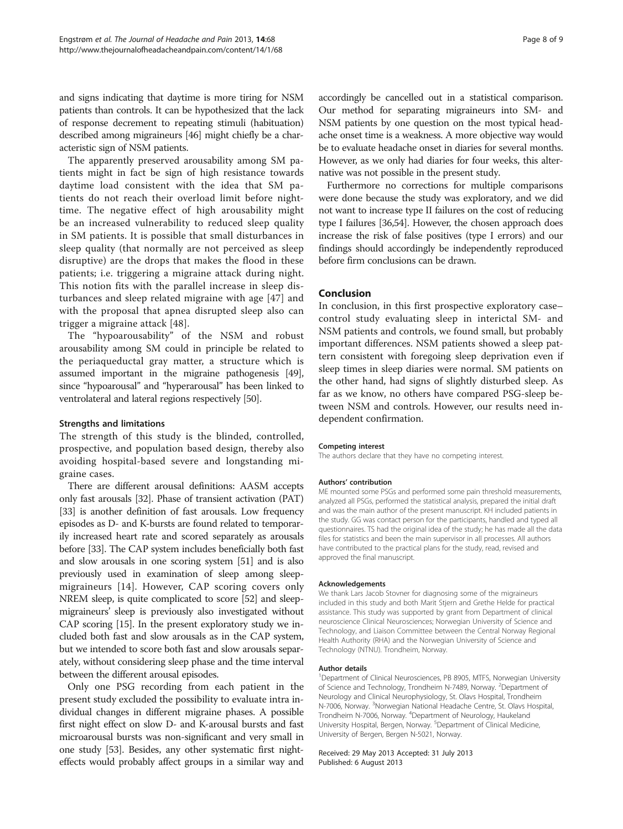and signs indicating that daytime is more tiring for NSM patients than controls. It can be hypothesized that the lack of response decrement to repeating stimuli (habituation) described among migraineurs [\[46\]](#page-8-0) might chiefly be a characteristic sign of NSM patients.

The apparently preserved arousability among SM patients might in fact be sign of high resistance towards daytime load consistent with the idea that SM patients do not reach their overload limit before nighttime. The negative effect of high arousability might be an increased vulnerability to reduced sleep quality in SM patients. It is possible that small disturbances in sleep quality (that normally are not perceived as sleep disruptive) are the drops that makes the flood in these patients; i.e. triggering a migraine attack during night. This notion fits with the parallel increase in sleep disturbances and sleep related migraine with age [[47\]](#page-8-0) and with the proposal that apnea disrupted sleep also can trigger a migraine attack [[48\]](#page-8-0).

The "hypoarousability" of the NSM and robust arousability among SM could in principle be related to the periaqueductal gray matter, a structure which is assumed important in the migraine pathogenesis [[49](#page-8-0)], since "hypoarousal" and "hyperarousal" has been linked to ventrolateral and lateral regions respectively [[50](#page-8-0)].

# Strengths and limitations

The strength of this study is the blinded, controlled, prospective, and population based design, thereby also avoiding hospital-based severe and longstanding migraine cases.

There are different arousal definitions: AASM accepts only fast arousals [\[32\]](#page-8-0). Phase of transient activation (PAT) [[33](#page-8-0)] is another definition of fast arousals. Low frequency episodes as D- and K-bursts are found related to temporarily increased heart rate and scored separately as arousals before [\[33\]](#page-8-0). The CAP system includes beneficially both fast and slow arousals in one scoring system [[51](#page-8-0)] and is also previously used in examination of sleep among sleepmigraineurs [\[14](#page-8-0)]. However, CAP scoring covers only NREM sleep, is quite complicated to score [[52](#page-8-0)] and sleepmigraineurs' sleep is previously also investigated without CAP scoring [\[15](#page-8-0)]. In the present exploratory study we included both fast and slow arousals as in the CAP system, but we intended to score both fast and slow arousals separately, without considering sleep phase and the time interval between the different arousal episodes.

Only one PSG recording from each patient in the present study excluded the possibility to evaluate intra individual changes in different migraine phases. A possible first night effect on slow D- and K-arousal bursts and fast microarousal bursts was non-significant and very small in one study [\[53\]](#page-8-0). Besides, any other systematic first nighteffects would probably affect groups in a similar way and

accordingly be cancelled out in a statistical comparison. Our method for separating migraineurs into SM- and NSM patients by one question on the most typical headache onset time is a weakness. A more objective way would be to evaluate headache onset in diaries for several months. However, as we only had diaries for four weeks, this alternative was not possible in the present study.

Furthermore no corrections for multiple comparisons were done because the study was exploratory, and we did not want to increase type II failures on the cost of reducing type I failures [\[36,54](#page-8-0)]. However, the chosen approach does increase the risk of false positives (type I errors) and our findings should accordingly be independently reproduced before firm conclusions can be drawn.

# Conclusion

In conclusion, in this first prospective exploratory case– control study evaluating sleep in interictal SM- and NSM patients and controls, we found small, but probably important differences. NSM patients showed a sleep pattern consistent with foregoing sleep deprivation even if sleep times in sleep diaries were normal. SM patients on the other hand, had signs of slightly disturbed sleep. As far as we know, no others have compared PSG-sleep between NSM and controls. However, our results need independent confirmation.

#### Competing interest

The authors declare that they have no competing interest.

#### Authors' contribution

ME mounted some PSGs and performed some pain threshold measurements, analyzed all PSGs, performed the statistical analysis, prepared the initial draft and was the main author of the present manuscript. KH included patients in the study. GG was contact person for the participants, handled and typed all questionnaires. TS had the original idea of the study; he has made all the data files for statistics and been the main supervisor in all processes. All authors have contributed to the practical plans for the study, read, revised and approved the final manuscript.

#### Acknowledgements

We thank Lars Jacob Stovner for diagnosing some of the migraineurs included in this study and both Marit Stjern and Grethe Helde for practical assistance. This study was supported by grant from Department of clinical neuroscience Clinical Neurosciences; Norwegian University of Science and Technology, and Liaison Committee between the Central Norway Regional Health Authority (RHA) and the Norwegian University of Science and Technology (NTNU). Trondheim, Norway.

#### Author details

<sup>1</sup>Department of Clinical Neurosciences, PB 8905, MTFS, Norwegian University of Science and Technology, Trondheim N-7489, Norway. <sup>2</sup>Department of Neurology and Clinical Neurophysiology, St. Olavs Hospital, Trondheim N-7006, Norway. <sup>3</sup>Norwegian National Headache Centre, St. Olavs Hospital Trondheim N-7006, Norway. <sup>4</sup>Department of Neurology, Haukeland University Hospital, Bergen, Norway. <sup>5</sup>Department of Clinical Medicine, University of Bergen, Bergen N-5021, Norway.

#### Received: 29 May 2013 Accepted: 31 July 2013 Published: 6 August 2013